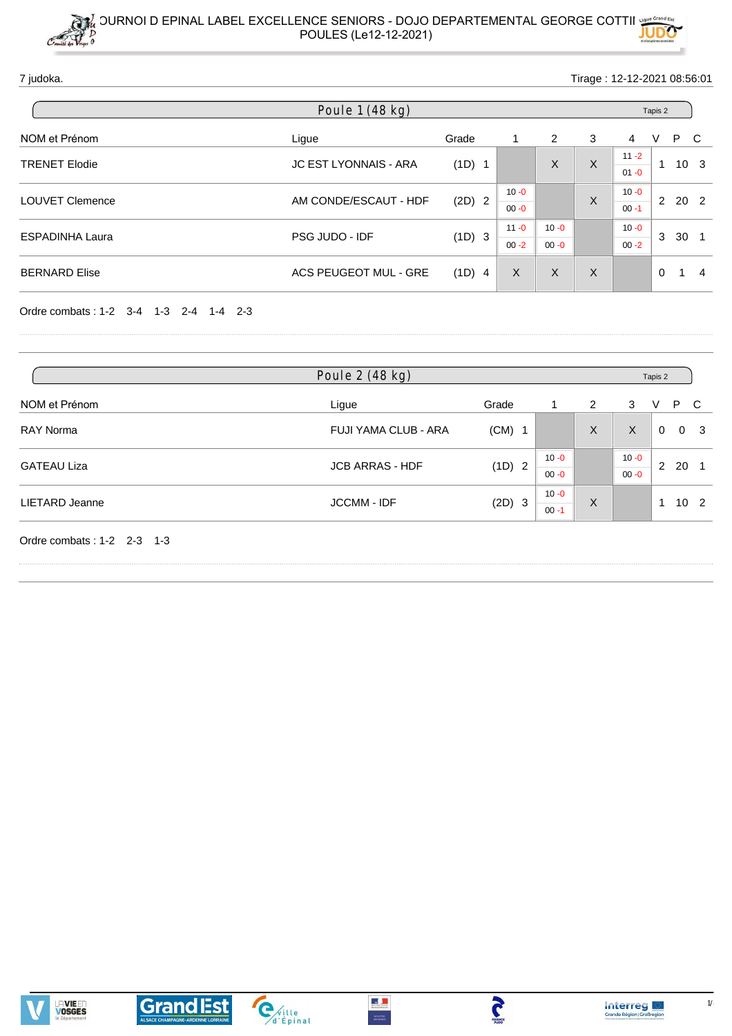7 judoka. Tirage : 12-12-2021 08:56:01

| Poule 1 (48 kg)        |                              |          |                      |                      |   |                      | Tapis 2  |                 |  |  |  |  |
|------------------------|------------------------------|----------|----------------------|----------------------|---|----------------------|----------|-----------------|--|--|--|--|
| NOM et Prénom          | Ligue                        | Grade    | 1                    | 2                    | 3 | 4                    | P.<br>V  | - C             |  |  |  |  |
| <b>TRENET Elodie</b>   | <b>JC EST LYONNAIS - ARA</b> | $(1D)$ 1 |                      | X                    | X | $11 - 2$<br>$01 - 0$ | -1       | 10 <sup>3</sup> |  |  |  |  |
| <b>LOUVET Clemence</b> | AM CONDE/ESCAUT - HDF        | $(2D)$ 2 | $10 - 0$<br>$00 - 0$ |                      | X | $10 - 0$<br>$00 - 1$ | 2        | 20 2            |  |  |  |  |
| <b>ESPADINHA Laura</b> | PSG JUDO - IDF               | (1D) 3   | $11 - 0$<br>$00 - 2$ | $10 - 0$<br>$00 - 0$ |   | $10 - 0$<br>$00 - 2$ | 3        | 30              |  |  |  |  |
| <b>BERNARD Elise</b>   | ACS PEUGEOT MUL - GRE        | (1D) 4   | X                    | X                    | X |                      | $\Omega$ | 1<br>4          |  |  |  |  |

Ordre combats : 1-2 3-4 1-3 2-4 1-4 2-3

| Poule 2 (48 kg)        |          |                      |   | Tapis 2              |    |                 |                |  |
|------------------------|----------|----------------------|---|----------------------|----|-----------------|----------------|--|
| Ligue                  | Grade    |                      | 2 | 3                    | V  | P.              | - C            |  |
| FUJI YAMA CLUB - ARA   | $(CM)$ 1 |                      | X | X                    | 0  |                 | 0 <sup>3</sup> |  |
| <b>JCB ARRAS - HDF</b> | (1D) 2   | $10 - 0$<br>$00 - 0$ |   | $10 - 0$<br>$00 - 0$ |    |                 |                |  |
| <b>JCCMM - IDF</b>     | (2D) 3   | $10 - 0$<br>$00 - 1$ | X |                      | -1 | 10 <sub>2</sub> |                |  |
|                        |          |                      |   |                      |    |                 | 2 20 1         |  |





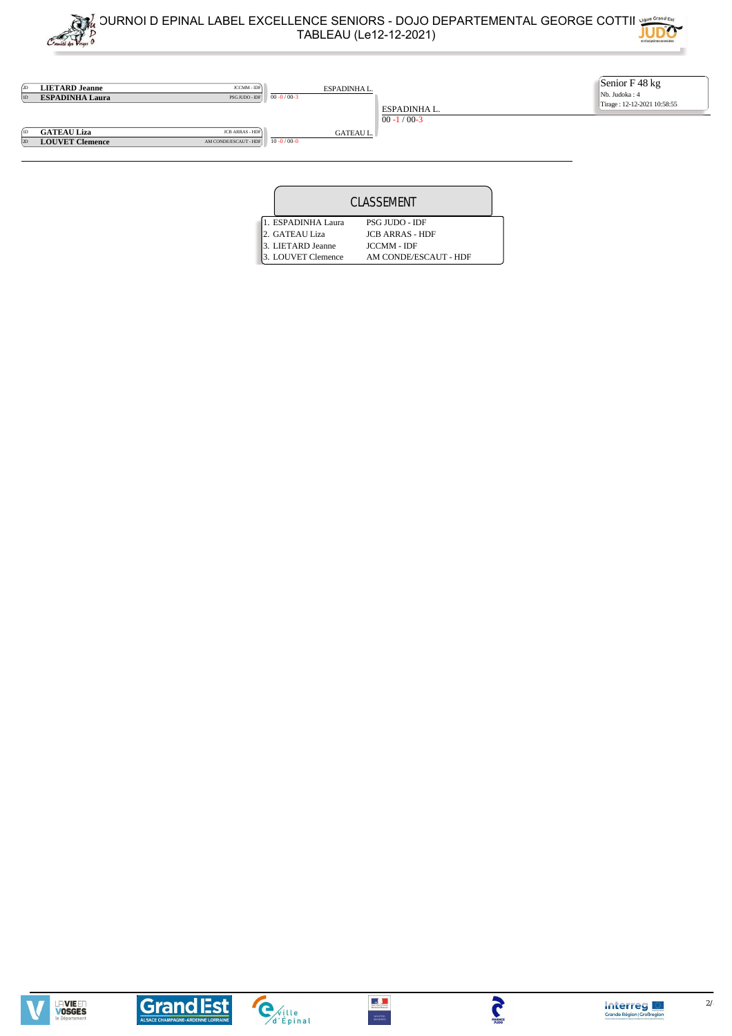



|  |                    | <b>CLASSEMENT</b>      |  |
|--|--------------------|------------------------|--|
|  | 1. ESPADINHA Laura | <b>PSG JUDO - IDF</b>  |  |
|  | 2. GATEAU Liza     | <b>JCB ARRAS - HDF</b> |  |
|  | 3. LIETARD Jeanne  | <b>JCCMM - IDF</b>     |  |
|  | 3. LOUVET Clemence | AM CONDE/ESCAUT - HDF  |  |





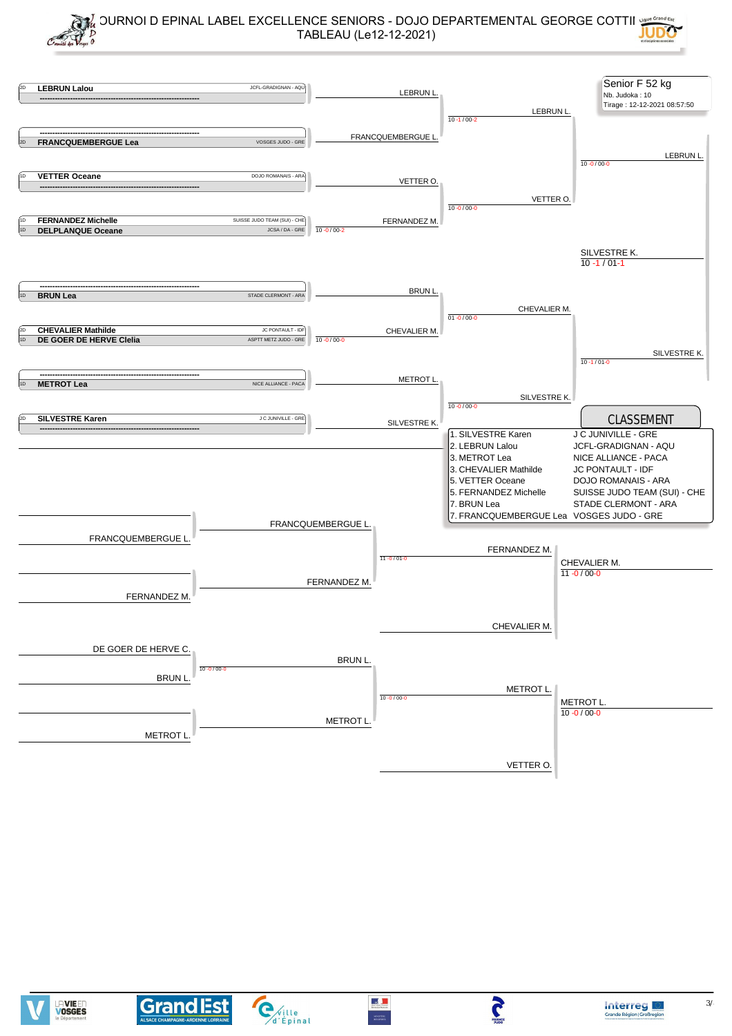

 $\omega$ 

5



**Grand Est** 

 $\mathbf{C}_{\text{d'Épinal}}$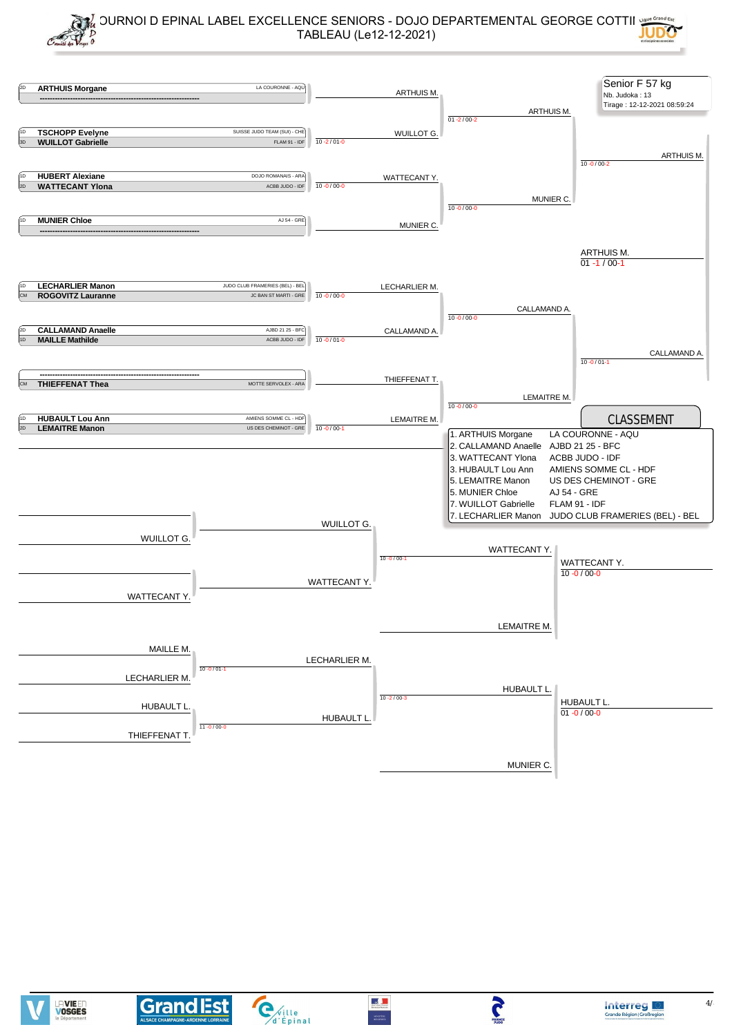



 $\omega$ 

**MINISTER** 

5

**Grand Est** 

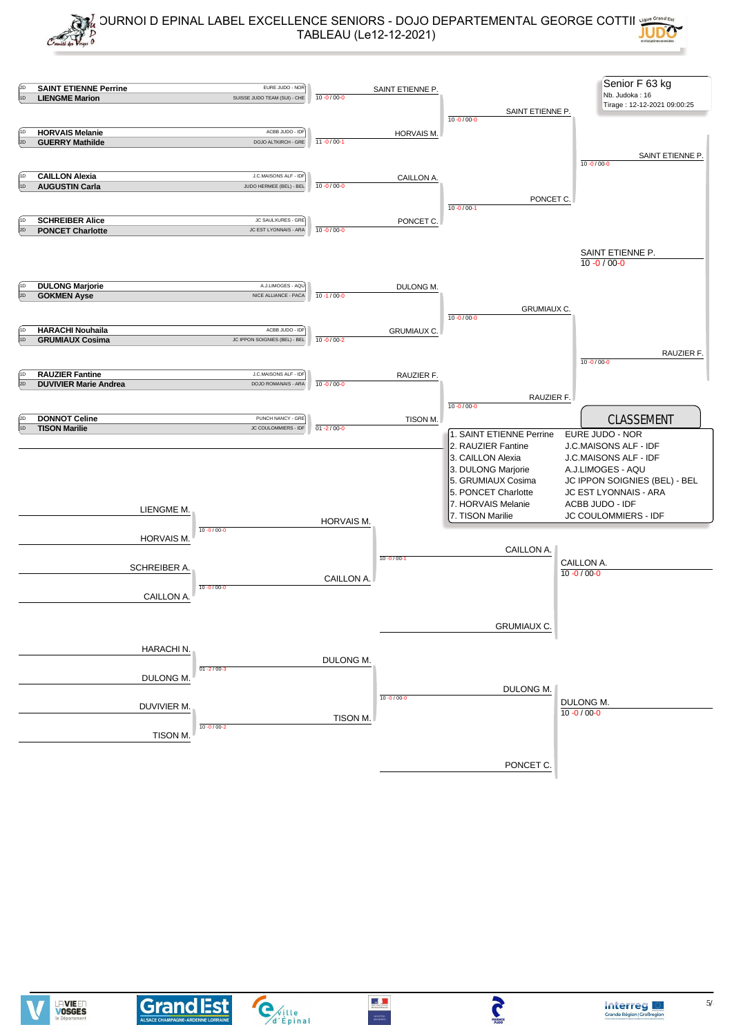

 $\omega$ 

J



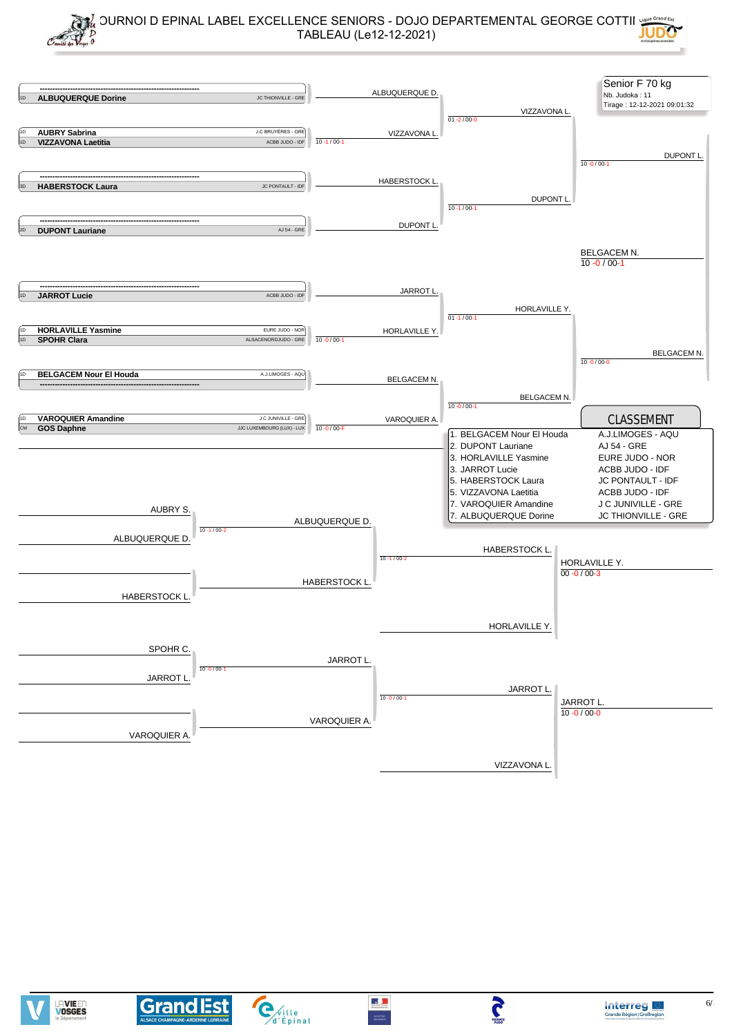



 $\mathbf{C}_{\text{d'Épinal}}$ 



J

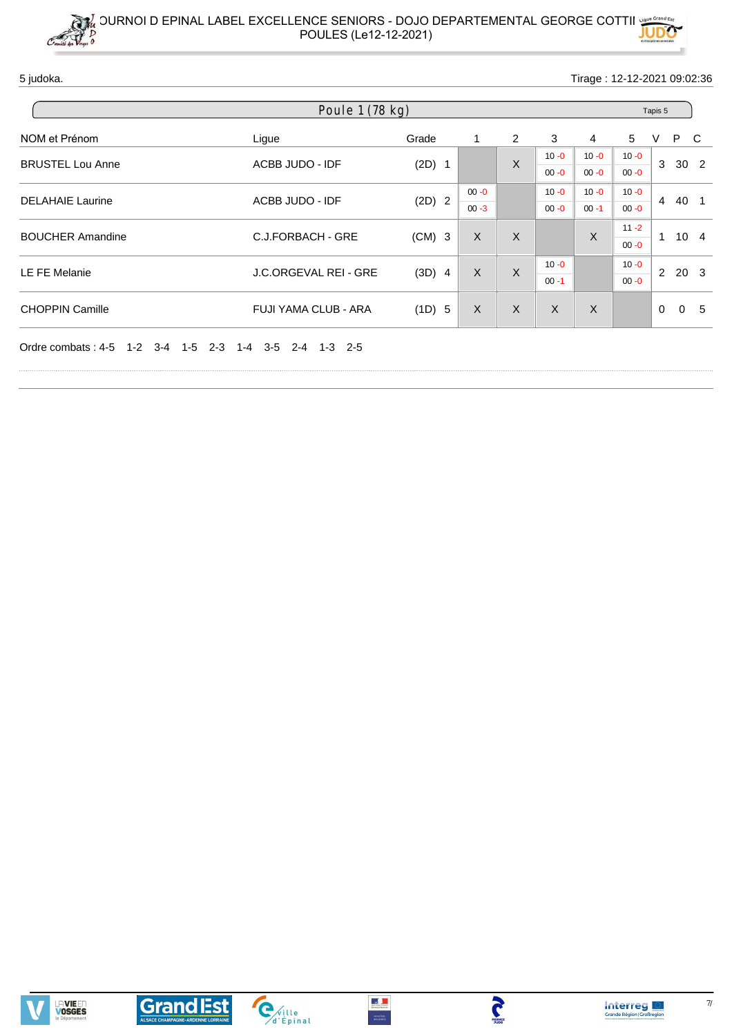5 judoka. Tirage : 12-12-2021 09:02:36

| Poule 1 (78 kg)      |                                                                      |                      |          |                    |                |          |              | Tapis 5        |                                                     |  |  |  |
|----------------------|----------------------------------------------------------------------|----------------------|----------|--------------------|----------------|----------|--------------|----------------|-----------------------------------------------------|--|--|--|
| Ligue                | Grade                                                                | 1                    | 2        | 3                  | $\overline{4}$ | 5        | V            |                |                                                     |  |  |  |
|                      |                                                                      |                      |          | $10 - 0$           | $10 - 0$       | $10 - 0$ |              |                |                                                     |  |  |  |
|                      |                                                                      |                      |          | $00 - 0$           | $00 - 0$       | $00 - 0$ |              |                |                                                     |  |  |  |
| ACBB JUDO - IDF      | $(2D)$ 2                                                             | $00 - 0$             |          | $10 - 0$           | $10 - 0$       | $10 - 0$ |              |                |                                                     |  |  |  |
|                      |                                                                      | $00 - 3$             |          | $00 - 0$           | $00 - 1$       | $00 - 0$ |              |                |                                                     |  |  |  |
|                      | $(CM)$ 3                                                             | $\sf X$              | X        |                    |                | $11 - 2$ | $\mathbf{1}$ |                |                                                     |  |  |  |
|                      |                                                                      |                      |          |                    |                | $00 - 0$ |              |                |                                                     |  |  |  |
|                      |                                                                      |                      |          | $10 - 0$           |                | $10 - 0$ |              |                |                                                     |  |  |  |
|                      |                                                                      |                      |          | $00 - 1$           |                | $00 - 0$ |              |                |                                                     |  |  |  |
| FUJI YAMA CLUB - ARA | (1D) 5                                                               | X                    | $\times$ | X                  | X              |          | $\Omega$     | $\overline{0}$ | - 5                                                 |  |  |  |
|                      | ACBB JUDO - IDF<br>C.J.FORBACH - GRE<br><b>J.C.ORGEVAL REI - GRE</b> | $(2D)$ 1<br>$(3D)$ 4 | X        | $\sf X$<br>$\sf X$ |                | X        |              | $\overline{4}$ | P C<br>3 30 2<br>40 1<br>$10 \quad 4$<br>$2\ 20\ 3$ |  |  |  |